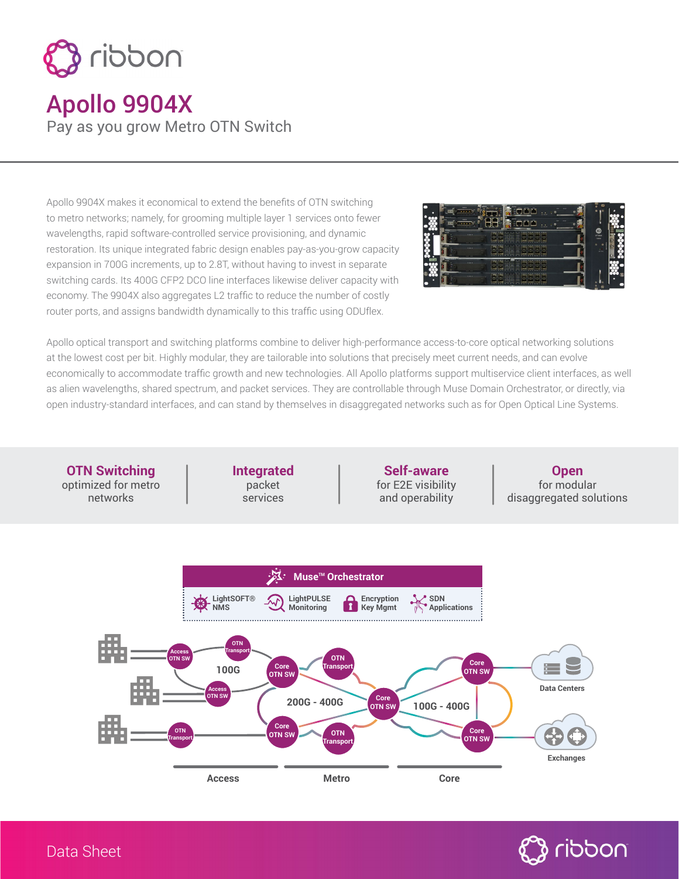

## Apollo 9904X Pay as you grow Metro OTN Switch

Apollo 9904X makes it economical to extend the benefits of OTN switching to metro networks; namely, for grooming multiple layer 1 services onto fewer wavelengths, rapid software-controlled service provisioning, and dynamic restoration. Its unique integrated fabric design enables pay-as-you-grow capacity expansion in 700G increments, up to 2.8T, without having to invest in separate switching cards. Its 400G CFP2 DCO line interfaces likewise deliver capacity with economy. The 9904X also aggregates L2 traffic to reduce the number of costly router ports, and assigns bandwidth dynamically to this traffic using ODUflex.



Apollo optical transport and switching platforms combine to deliver high-performance access-to-core optical networking solutions at the lowest cost per bit. Highly modular, they are tailorable into solutions that precisely meet current needs, and can evolve economically to accommodate traffic growth and new technologies. All Apollo platforms support multiservice client interfaces, as well as alien wavelengths, shared spectrum, and packet services. They are controllable through Muse Domain Orchestrator, or directly, via open industry-standard interfaces, and can stand by themselves in disaggregated networks such as for Open Optical Line Systems.